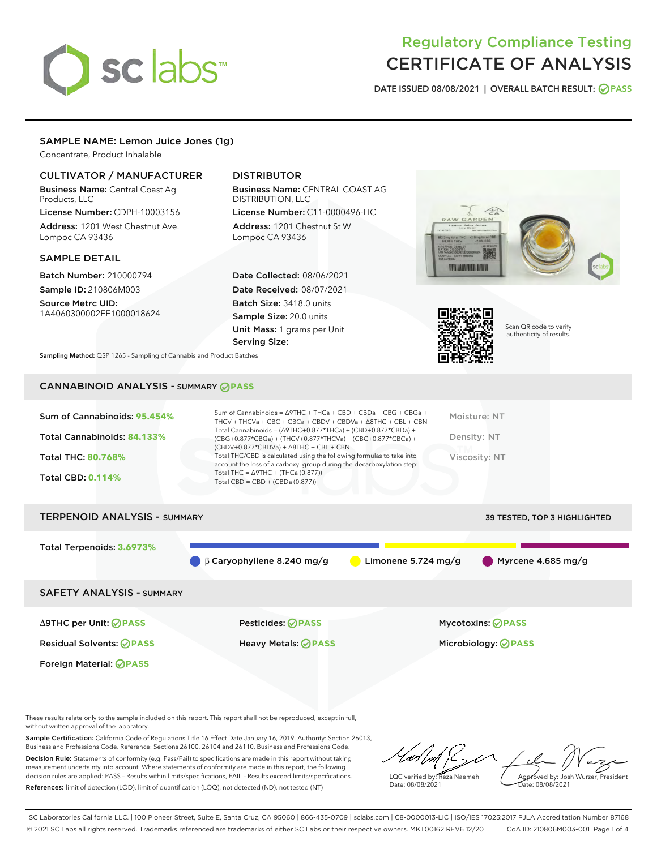# sclabs<sup>\*</sup>

## Regulatory Compliance Testing CERTIFICATE OF ANALYSIS

DATE ISSUED 08/08/2021 | OVERALL BATCH RESULT: @ PASS

#### SAMPLE NAME: Lemon Juice Jones (1g)

Concentrate, Product Inhalable

#### CULTIVATOR / MANUFACTURER

Business Name: Central Coast Ag Products, LLC

License Number: CDPH-10003156 Address: 1201 West Chestnut Ave. Lompoc CA 93436

#### SAMPLE DETAIL

Batch Number: 210000794 Sample ID: 210806M003 Source Metrc UID:

1A4060300002EE1000018624

#### DISTRIBUTOR

Business Name: CENTRAL COAST AG DISTRIBUTION, LLC

License Number: C11-0000496-LIC Address: 1201 Chestnut St W Lompoc CA 93436

Date Collected: 08/06/2021 Date Received: 08/07/2021 Batch Size: 3418.0 units Sample Size: 20.0 units Unit Mass: 1 grams per Unit Serving Size:





Scan QR code to verify authenticity of results.

Sampling Method: QSP 1265 - Sampling of Cannabis and Product Batches

### CANNABINOID ANALYSIS - SUMMARY **PASS**

| Sum of Cannabinoids: 95.454%<br>Total Cannabinoids: 84.133%<br><b>Total THC: 80.768%</b><br><b>Total CBD: 0.114%</b> | Sum of Cannabinoids = $\triangle$ 9THC + THCa + CBD + CBDa + CBG + CBGa +<br>THCV + THCVa + CBC + CBCa + CBDV + CBDVa + $\Delta$ 8THC + CBL + CBN<br>Total Cannabinoids = $(\Delta$ 9THC+0.877*THCa) + (CBD+0.877*CBDa) +<br>(CBG+0.877*CBGa) + (THCV+0.877*THCVa) + (CBC+0.877*CBCa) +<br>$(CBDV+0.877*CBDVa) + \Delta 8THC + CBL + CBN$<br>Total THC/CBD is calculated using the following formulas to take into<br>account the loss of a carboxyl group during the decarboxylation step:<br>Total THC = $\triangle$ 9THC + (THCa (0.877))<br>Total CBD = $CBD + (CBDa (0.877))$ | Moisture: NT<br>Density: NT<br>Viscosity: NT |
|----------------------------------------------------------------------------------------------------------------------|------------------------------------------------------------------------------------------------------------------------------------------------------------------------------------------------------------------------------------------------------------------------------------------------------------------------------------------------------------------------------------------------------------------------------------------------------------------------------------------------------------------------------------------------------------------------------------|----------------------------------------------|
| <b>TERPENOID ANALYSIS - SUMMARY</b>                                                                                  |                                                                                                                                                                                                                                                                                                                                                                                                                                                                                                                                                                                    | <b>39 TESTED, TOP 3 HIGHLIGHTED</b>          |
| Total Terpenoids: 3.6973%                                                                                            | B Carvophyllene 8.240 mg/g<br>Limonene 5.724 mg/g                                                                                                                                                                                                                                                                                                                                                                                                                                                                                                                                  | Myrcene 4.685 mg/g                           |

SAFETY ANALYSIS - SUMMARY

∆9THC per Unit: **PASS** Pesticides: **PASS** Mycotoxins: **PASS**

Foreign Material: **PASS**

Residual Solvents: **PASS** Heavy Metals: **PASS** Microbiology: **PASS**

These results relate only to the sample included on this report. This report shall not be reproduced, except in full, without written approval of the laboratory.

Sample Certification: California Code of Regulations Title 16 Effect Date January 16, 2019. Authority: Section 26013, Business and Professions Code. Reference: Sections 26100, 26104 and 26110, Business and Professions Code. Decision Rule: Statements of conformity (e.g. Pass/Fail) to specifications are made in this report without taking measurement uncertainty into account. Where statements of conformity are made in this report, the following decision rules are applied: PASS – Results within limits/specifications, FAIL – Results exceed limits/specifications.

References: limit of detection (LOD), limit of quantification (LOQ), not detected (ND), not tested (NT)

LQC verified by: Reza Naemeh Date: 08/08/2021 Approved by: Josh Wurzer, President Date: 08/08/2021

SC Laboratories California LLC. | 100 Pioneer Street, Suite E, Santa Cruz, CA 95060 | 866-435-0709 | sclabs.com | C8-0000013-LIC | ISO/IES 17025:2017 PJLA Accreditation Number 87168 © 2021 SC Labs all rights reserved. Trademarks referenced are trademarks of either SC Labs or their respective owners. MKT00162 REV6 12/20 CoA ID: 210806M003-001 Page 1 of 4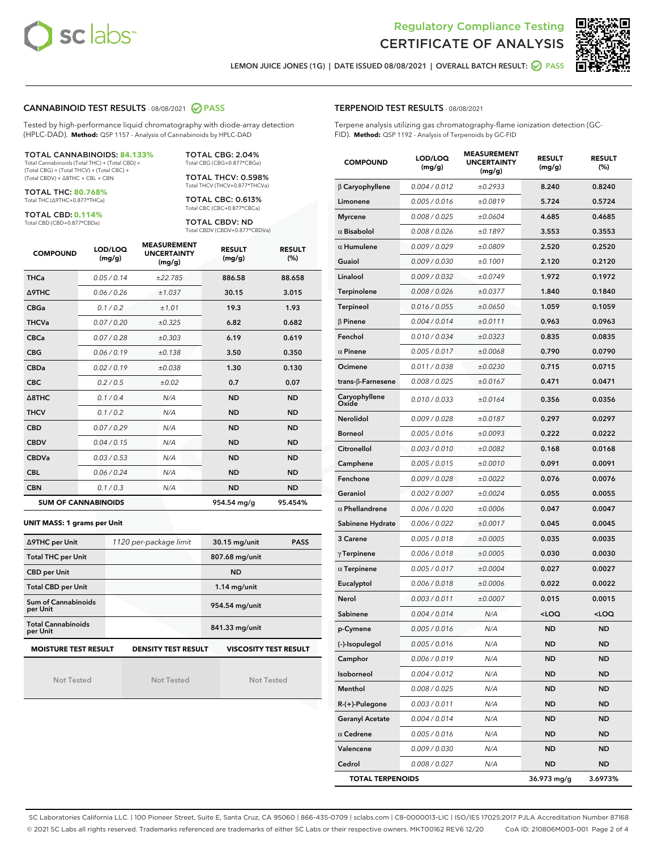



LEMON JUICE JONES (1G) | DATE ISSUED 08/08/2021 | OVERALL BATCH RESULT: @ PASS

#### CANNABINOID TEST RESULTS - 08/08/2021 2 PASS

Tested by high-performance liquid chromatography with diode-array detection (HPLC-DAD). **Method:** QSP 1157 - Analysis of Cannabinoids by HPLC-DAD

#### TOTAL CANNABINOIDS: **84.133%** Total Cannabinoids (Total THC) + (Total CBD) +

(Total CBG) + (Total THCV) + (Total CBC) + (Total CBDV) + ∆8THC + CBL + CBN

TOTAL THC: **80.768%** Total THC (∆9THC+0.877\*THCa)

TOTAL CBD: **0.114%**

Total CBD (CBD+0.877\*CBDa)

TOTAL CBG: 2.04% Total CBG (CBG+0.877\*CBGa) TOTAL THCV: 0.598%

Total THCV (THCV+0.877\*THCVa)

TOTAL CBC: 0.613% Total CBC (CBC+0.877\*CBCa)

TOTAL CBDV: ND Total CBDV (CBDV+0.877\*CBDVa)

| <b>COMPOUND</b> | LOD/LOQ<br>(mg/g)          | <b>MEASUREMENT</b><br><b>UNCERTAINTY</b><br>(mg/g) | <b>RESULT</b><br>(mg/g) | <b>RESULT</b><br>(%) |
|-----------------|----------------------------|----------------------------------------------------|-------------------------|----------------------|
| <b>THCa</b>     | 0.05/0.14                  | ±22.785                                            | 886.58                  | 88.658               |
| <b>A9THC</b>    | 0.06 / 0.26                | ±1.037                                             | 30.15                   | 3.015                |
| <b>CBGa</b>     | 0.1/0.2                    | ±1.01                                              | 19.3                    | 1.93                 |
| <b>THCVa</b>    | 0.07/0.20                  | ±0.325                                             | 6.82                    | 0.682                |
| <b>CBCa</b>     | 0.07/0.28                  | ±0.303                                             | 6.19                    | 0.619                |
| <b>CBG</b>      | 0.06/0.19                  | ±0.138                                             | 3.50                    | 0.350                |
| <b>CBDa</b>     | 0.02/0.19                  | ±0.038                                             | 1.30                    | 0.130                |
| <b>CBC</b>      | 0.2 / 0.5                  | ±0.02                                              | 0.7                     | 0.07                 |
| A8THC           | 0.1/0.4                    | N/A                                                | <b>ND</b>               | <b>ND</b>            |
| <b>THCV</b>     | 0.1/0.2                    | N/A                                                | <b>ND</b>               | <b>ND</b>            |
| <b>CBD</b>      | 0.07/0.29                  | N/A                                                | <b>ND</b>               | <b>ND</b>            |
| <b>CBDV</b>     | 0.04 / 0.15                | N/A                                                | <b>ND</b>               | <b>ND</b>            |
| <b>CBDVa</b>    | 0.03/0.53                  | N/A                                                | <b>ND</b>               | <b>ND</b>            |
| <b>CBL</b>      | 0.06 / 0.24                | N/A                                                | <b>ND</b>               | <b>ND</b>            |
| <b>CBN</b>      | 0.1/0.3                    | N/A                                                | <b>ND</b>               | <b>ND</b>            |
|                 | <b>SUM OF CANNABINOIDS</b> |                                                    | 954.54 mg/g             | 95.454%              |

#### **UNIT MASS: 1 grams per Unit**

| ∆9THC per Unit                        | 1120 per-package limit     | 30.15 mg/unit<br><b>PASS</b> |  |  |
|---------------------------------------|----------------------------|------------------------------|--|--|
| <b>Total THC per Unit</b>             |                            | 807.68 mg/unit               |  |  |
| <b>CBD per Unit</b>                   |                            | <b>ND</b>                    |  |  |
| <b>Total CBD per Unit</b>             |                            | $1.14$ mg/unit               |  |  |
| Sum of Cannabinoids<br>per Unit       |                            | 954.54 mg/unit               |  |  |
| <b>Total Cannabinoids</b><br>per Unit |                            | 841.33 mg/unit               |  |  |
| <b>MOISTURE TEST RESULT</b>           | <b>DENSITY TEST RESULT</b> | <b>VISCOSITY TEST RESULT</b> |  |  |

Not Tested

Not Tested

Not Tested

#### TERPENOID TEST RESULTS - 08/08/2021

Terpene analysis utilizing gas chromatography-flame ionization detection (GC-FID). **Method:** QSP 1192 - Analysis of Terpenoids by GC-FID

| <b>COMPOUND</b>           | LOD/LOQ<br>(mg/g) | <b>MEASUREMENT</b><br><b>UNCERTAINTY</b><br>(mg/g) | <b>RESULT</b><br>(mg/g)                         | <b>RESULT</b><br>(%) |
|---------------------------|-------------------|----------------------------------------------------|-------------------------------------------------|----------------------|
| $\beta$ Caryophyllene     | 0.004 / 0.012     | ±0.2933                                            | 8.240                                           | 0.8240               |
| Limonene                  | 0.005 / 0.016     | ±0.0819                                            | 5.724                                           | 0.5724               |
| <b>Myrcene</b>            | 0.008 / 0.025     | ±0.0604                                            | 4.685                                           | 0.4685               |
| $\alpha$ Bisabolol        | 0.008 / 0.026     | ±0.1897                                            | 3.553                                           | 0.3553               |
| $\alpha$ Humulene         | 0.009 / 0.029     | ±0.0809                                            | 2.520                                           | 0.2520               |
| Guaiol                    | 0.009 / 0.030     | ±0.1001                                            | 2.120                                           | 0.2120               |
| Linalool                  | 0.009 / 0.032     | ±0.0749                                            | 1.972                                           | 0.1972               |
| Terpinolene               | 0.008 / 0.026     | ±0.0377                                            | 1.840                                           | 0.1840               |
| Terpineol                 | 0.016 / 0.055     | ±0.0650                                            | 1.059                                           | 0.1059               |
| $\beta$ Pinene            | 0.004 / 0.014     | ±0.0111                                            | 0.963                                           | 0.0963               |
| Fenchol                   | 0.010 / 0.034     | ±0.0323                                            | 0.835                                           | 0.0835               |
| $\alpha$ Pinene           | 0.005 / 0.017     | ±0.0068                                            | 0.790                                           | 0.0790               |
| Ocimene                   | 0.011 / 0.038     | ±0.0230                                            | 0.715                                           | 0.0715               |
| trans- $\beta$ -Farnesene | 0.008 / 0.025     | ±0.0167                                            | 0.471                                           | 0.0471               |
| Caryophyllene<br>Oxide    | 0.010 / 0.033     | ±0.0164                                            | 0.356                                           | 0.0356               |
| Nerolidol                 | 0.009 / 0.028     | ±0.0187                                            | 0.297                                           | 0.0297               |
| <b>Borneol</b>            | 0.005 / 0.016     | ±0.0093                                            | 0.222                                           | 0.0222               |
| Citronellol               | 0.003 / 0.010     | ±0.0082                                            | 0.168                                           | 0.0168               |
| Camphene                  | 0.005 / 0.015     | ±0.0010                                            | 0.091                                           | 0.0091               |
| Fenchone                  | 0.009 / 0.028     | ±0.0022                                            | 0.076                                           | 0.0076               |
| Geraniol                  | 0.002 / 0.007     | ±0.0024                                            | 0.055                                           | 0.0055               |
| $\alpha$ Phellandrene     | 0.006 / 0.020     | ±0.0006                                            | 0.047                                           | 0.0047               |
| Sabinene Hydrate          | 0.006 / 0.022     | ±0.0017                                            | 0.045                                           | 0.0045               |
| 3 Carene                  | 0.005 / 0.018     | ±0.0005                                            | 0.035                                           | 0.0035               |
| $\gamma$ Terpinene        | 0.006 / 0.018     | ±0.0005                                            | 0.030                                           | 0.0030               |
| $\alpha$ Terpinene        | 0.005 / 0.017     | ±0.0004                                            | 0.027                                           | 0.0027               |
| Eucalyptol                | 0.006 / 0.018     | ±0.0006                                            | 0.022                                           | 0.0022               |
| Nerol                     | 0.003 / 0.011     | ±0.0007                                            | 0.015                                           | 0.0015               |
| Sabinene                  | 0.004 / 0.014     | N/A                                                | <loq< th=""><th><loq< th=""></loq<></th></loq<> | <loq< th=""></loq<>  |
| p-Cymene                  | 0.005 / 0.016     | N/A                                                | <b>ND</b>                                       | <b>ND</b>            |
| (-)-Isopulegol            | 0.005 / 0.016     | N/A                                                | ND                                              | ND                   |
| Camphor                   | 0.006 / 0.019     | N/A                                                | <b>ND</b>                                       | ND                   |
| Isoborneol                | 0.004 / 0.012     | N/A                                                | ND                                              | ND                   |
| Menthol                   | 0.008 / 0.025     | N/A                                                | ND                                              | ND                   |
| R-(+)-Pulegone            | 0.003 / 0.011     | N/A                                                | ND                                              | ND                   |
| <b>Geranyl Acetate</b>    | 0.004 / 0.014     | N/A                                                | ND                                              | ND                   |
| $\alpha$ Cedrene          | 0.005 / 0.016     | N/A                                                | ND                                              | ND                   |
| Valencene                 | 0.009 / 0.030     | N/A                                                | ND                                              | ND                   |
| Cedrol                    | 0.008 / 0.027     | N/A                                                | ND                                              | ND                   |
| <b>TOTAL TERPENOIDS</b>   |                   |                                                    | 36.973 mg/g                                     | 3.6973%              |

SC Laboratories California LLC. | 100 Pioneer Street, Suite E, Santa Cruz, CA 95060 | 866-435-0709 | sclabs.com | C8-0000013-LIC | ISO/IES 17025:2017 PJLA Accreditation Number 87168 © 2021 SC Labs all rights reserved. Trademarks referenced are trademarks of either SC Labs or their respective owners. MKT00162 REV6 12/20 CoA ID: 210806M003-001 Page 2 of 4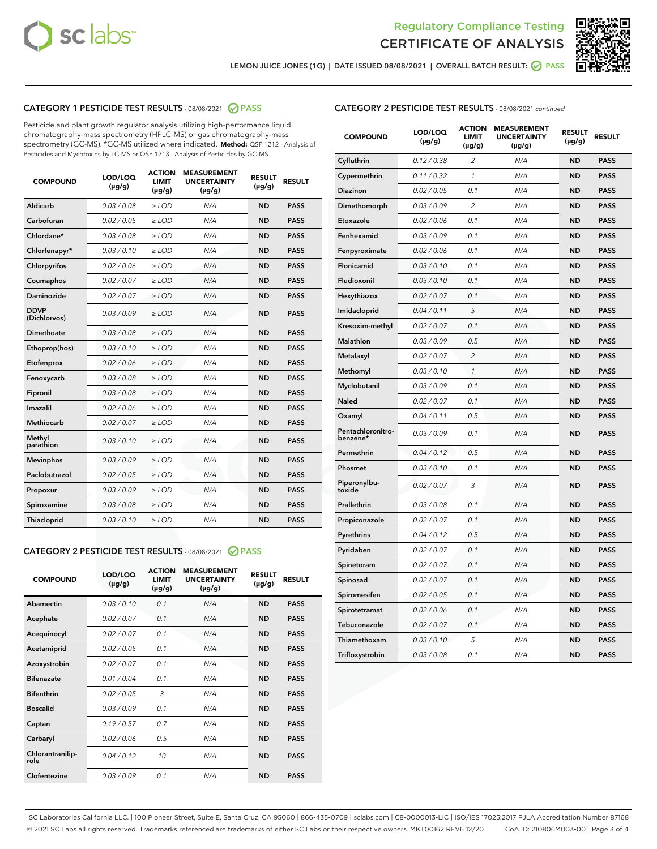



LEMON JUICE JONES (1G) | DATE ISSUED 08/08/2021 | OVERALL BATCH RESULT: @ PASS

#### CATEGORY 1 PESTICIDE TEST RESULTS - 08/08/2021 2 PASS

Pesticide and plant growth regulator analysis utilizing high-performance liquid chromatography-mass spectrometry (HPLC-MS) or gas chromatography-mass spectrometry (GC-MS). \*GC-MS utilized where indicated. **Method:** QSP 1212 - Analysis of Pesticides and Mycotoxins by LC-MS or QSP 1213 - Analysis of Pesticides by GC-MS

| <b>COMPOUND</b>             | LOD/LOQ<br>$(\mu g/g)$ | <b>ACTION</b><br><b>LIMIT</b><br>$(\mu g/g)$ | <b>MEASUREMENT</b><br><b>UNCERTAINTY</b><br>$(\mu g/g)$ | <b>RESULT</b><br>$(\mu g/g)$ | <b>RESULT</b> |
|-----------------------------|------------------------|----------------------------------------------|---------------------------------------------------------|------------------------------|---------------|
| Aldicarb                    | 0.03 / 0.08            | $\geq$ LOD                                   | N/A                                                     | <b>ND</b>                    | <b>PASS</b>   |
| Carbofuran                  | 0.02 / 0.05            | $>$ LOD                                      | N/A                                                     | <b>ND</b>                    | <b>PASS</b>   |
| Chlordane*                  | 0.03 / 0.08            | $\ge$ LOD                                    | N/A                                                     | <b>ND</b>                    | <b>PASS</b>   |
| Chlorfenapyr*               | 0.03/0.10              | $>$ LOD                                      | N/A                                                     | <b>ND</b>                    | <b>PASS</b>   |
| Chlorpyrifos                | 0.02 / 0.06            | ≥ LOD                                        | N/A                                                     | <b>ND</b>                    | <b>PASS</b>   |
| Coumaphos                   | 0.02 / 0.07            | $\ge$ LOD                                    | N/A                                                     | <b>ND</b>                    | <b>PASS</b>   |
| Daminozide                  | 0.02 / 0.07            | $\geq$ LOD                                   | N/A                                                     | <b>ND</b>                    | <b>PASS</b>   |
| <b>DDVP</b><br>(Dichlorvos) | 0.03/0.09              | $\geq$ LOD                                   | N/A                                                     | <b>ND</b>                    | <b>PASS</b>   |
| Dimethoate                  | 0.03 / 0.08            | $>$ LOD                                      | N/A                                                     | <b>ND</b>                    | <b>PASS</b>   |
| Ethoprop(hos)               | 0.03/0.10              | $\ge$ LOD                                    | N/A                                                     | <b>ND</b>                    | <b>PASS</b>   |
| Etofenprox                  | 0.02 / 0.06            | $>$ LOD                                      | N/A                                                     | <b>ND</b>                    | <b>PASS</b>   |
| Fenoxycarb                  | 0.03 / 0.08            | $\geq$ LOD                                   | N/A                                                     | <b>ND</b>                    | <b>PASS</b>   |
| Fipronil                    | 0.03/0.08              | $>$ LOD                                      | N/A                                                     | <b>ND</b>                    | <b>PASS</b>   |
| Imazalil                    | 0.02 / 0.06            | $\geq$ LOD                                   | N/A                                                     | <b>ND</b>                    | <b>PASS</b>   |
| <b>Methiocarb</b>           | 0.02 / 0.07            | $\ge$ LOD                                    | N/A                                                     | <b>ND</b>                    | <b>PASS</b>   |
| Methyl<br>parathion         | 0.03/0.10              | $\geq$ LOD                                   | N/A                                                     | <b>ND</b>                    | <b>PASS</b>   |
| <b>Mevinphos</b>            | 0.03/0.09              | $>$ LOD                                      | N/A                                                     | <b>ND</b>                    | <b>PASS</b>   |
| Paclobutrazol               | 0.02 / 0.05            | $\geq$ LOD                                   | N/A                                                     | <b>ND</b>                    | <b>PASS</b>   |
| Propoxur                    | 0.03/0.09              | $\ge$ LOD                                    | N/A                                                     | <b>ND</b>                    | <b>PASS</b>   |
| Spiroxamine                 | 0.03 / 0.08            | $\ge$ LOD                                    | N/A                                                     | <b>ND</b>                    | <b>PASS</b>   |
| Thiacloprid                 | 0.03/0.10              | $\geq$ LOD                                   | N/A                                                     | <b>ND</b>                    | <b>PASS</b>   |

#### CATEGORY 2 PESTICIDE TEST RESULTS - 08/08/2021 @ PASS

| <b>COMPOUND</b>          | LOD/LOQ<br>$(\mu g/g)$ | <b>ACTION</b><br><b>LIMIT</b><br>$(\mu g/g)$ | <b>MEASUREMENT</b><br><b>UNCERTAINTY</b><br>$(\mu g/g)$ | <b>RESULT</b><br>$(\mu g/g)$ | <b>RESULT</b> |
|--------------------------|------------------------|----------------------------------------------|---------------------------------------------------------|------------------------------|---------------|
| Abamectin                | 0.03/0.10              | 0.1                                          | N/A                                                     | <b>ND</b>                    | <b>PASS</b>   |
| Acephate                 | 0.02/0.07              | 0.1                                          | N/A                                                     | <b>ND</b>                    | <b>PASS</b>   |
| Acequinocyl              | 0.02/0.07              | 0.1                                          | N/A                                                     | <b>ND</b>                    | <b>PASS</b>   |
| Acetamiprid              | 0.02/0.05              | 0.1                                          | N/A                                                     | <b>ND</b>                    | <b>PASS</b>   |
| Azoxystrobin             | 0.02/0.07              | 0.1                                          | N/A                                                     | <b>ND</b>                    | <b>PASS</b>   |
| <b>Bifenazate</b>        | 0.01/0.04              | 0.1                                          | N/A                                                     | <b>ND</b>                    | <b>PASS</b>   |
| <b>Bifenthrin</b>        | 0.02 / 0.05            | 3                                            | N/A                                                     | <b>ND</b>                    | <b>PASS</b>   |
| <b>Boscalid</b>          | 0.03/0.09              | 0.1                                          | N/A                                                     | <b>ND</b>                    | <b>PASS</b>   |
| Captan                   | 0.19/0.57              | 0.7                                          | N/A                                                     | <b>ND</b>                    | <b>PASS</b>   |
| Carbaryl                 | 0.02/0.06              | 0.5                                          | N/A                                                     | <b>ND</b>                    | <b>PASS</b>   |
| Chlorantranilip-<br>role | 0.04/0.12              | 10                                           | N/A                                                     | <b>ND</b>                    | <b>PASS</b>   |
| Clofentezine             | 0.03/0.09              | 0.1                                          | N/A                                                     | <b>ND</b>                    | <b>PASS</b>   |

| <b>COMPOUND</b>               | LOD/LOQ<br>(µg/g) | <b>ACTION</b><br><b>LIMIT</b><br>(µg/g) | <b>MEASUREMENT</b><br><b>UNCERTAINTY</b><br>$(\mu g/g)$ | <b>RESULT</b><br>(µg/g) | <b>RESULT</b> |
|-------------------------------|-------------------|-----------------------------------------|---------------------------------------------------------|-------------------------|---------------|
| Cyfluthrin                    | 0.12 / 0.38       | $\overline{c}$                          | N/A                                                     | <b>ND</b>               | <b>PASS</b>   |
| Cypermethrin                  | 0.11 / 0.32       | $\mathcal{I}$                           | N/A                                                     | <b>ND</b>               | <b>PASS</b>   |
| <b>Diazinon</b>               | 0.02 / 0.05       | 0.1                                     | N/A                                                     | <b>ND</b>               | <b>PASS</b>   |
| Dimethomorph                  | 0.03 / 0.09       | 2                                       | N/A                                                     | <b>ND</b>               | <b>PASS</b>   |
| Etoxazole                     | 0.02 / 0.06       | 0.1                                     | N/A                                                     | <b>ND</b>               | <b>PASS</b>   |
| Fenhexamid                    | 0.03 / 0.09       | 0.1                                     | N/A                                                     | <b>ND</b>               | <b>PASS</b>   |
| Fenpyroximate                 | 0.02 / 0.06       | 0.1                                     | N/A                                                     | <b>ND</b>               | <b>PASS</b>   |
| Flonicamid                    | 0.03 / 0.10       | 0.1                                     | N/A                                                     | <b>ND</b>               | <b>PASS</b>   |
| Fludioxonil                   | 0.03/0.10         | 0.1                                     | N/A                                                     | <b>ND</b>               | <b>PASS</b>   |
| Hexythiazox                   | 0.02 / 0.07       | 0.1                                     | N/A                                                     | <b>ND</b>               | <b>PASS</b>   |
| Imidacloprid                  | 0.04 / 0.11       | 5                                       | N/A                                                     | <b>ND</b>               | <b>PASS</b>   |
| Kresoxim-methyl               | 0.02 / 0.07       | 0.1                                     | N/A                                                     | <b>ND</b>               | <b>PASS</b>   |
| <b>Malathion</b>              | 0.03 / 0.09       | 0.5                                     | N/A                                                     | <b>ND</b>               | <b>PASS</b>   |
| Metalaxyl                     | 0.02 / 0.07       | $\overline{c}$                          | N/A                                                     | <b>ND</b>               | <b>PASS</b>   |
| Methomyl                      | 0.03 / 0.10       | 1                                       | N/A                                                     | <b>ND</b>               | <b>PASS</b>   |
| Myclobutanil                  | 0.03 / 0.09       | 0.1                                     | N/A                                                     | <b>ND</b>               | <b>PASS</b>   |
| Naled                         | 0.02 / 0.07       | 0.1                                     | N/A                                                     | <b>ND</b>               | <b>PASS</b>   |
| Oxamyl                        | 0.04 / 0.11       | 0.5                                     | N/A                                                     | <b>ND</b>               | <b>PASS</b>   |
| Pentachloronitro-<br>benzene* | 0.03 / 0.09       | 0.1                                     | N/A                                                     | <b>ND</b>               | <b>PASS</b>   |
| Permethrin                    | 0.04 / 0.12       | 0.5                                     | N/A                                                     | <b>ND</b>               | <b>PASS</b>   |
| Phosmet                       | 0.03 / 0.10       | 0.1                                     | N/A                                                     | <b>ND</b>               | <b>PASS</b>   |
| Piperonylbu-<br>toxide        | 0.02 / 0.07       | 3                                       | N/A                                                     | <b>ND</b>               | <b>PASS</b>   |
| Prallethrin                   | 0.03 / 0.08       | 0.1                                     | N/A                                                     | <b>ND</b>               | <b>PASS</b>   |
| Propiconazole                 | 0.02 / 0.07       | 0.1                                     | N/A                                                     | <b>ND</b>               | <b>PASS</b>   |
| Pyrethrins                    | 0.04 / 0.12       | 0.5                                     | N/A                                                     | <b>ND</b>               | <b>PASS</b>   |
| Pyridaben                     | 0.02 / 0.07       | 0.1                                     | N/A                                                     | <b>ND</b>               | <b>PASS</b>   |
| Spinetoram                    | 0.02 / 0.07       | 0.1                                     | N/A                                                     | <b>ND</b>               | <b>PASS</b>   |
| Spinosad                      | 0.02 / 0.07       | 0.1                                     | N/A                                                     | <b>ND</b>               | <b>PASS</b>   |
| Spiromesifen                  | 0.02 / 0.05       | 0.1                                     | N/A                                                     | <b>ND</b>               | <b>PASS</b>   |
| Spirotetramat                 | 0.02 / 0.06       | 0.1                                     | N/A                                                     | <b>ND</b>               | <b>PASS</b>   |
| Tebuconazole                  | 0.02 / 0.07       | 0.1                                     | N/A                                                     | <b>ND</b>               | <b>PASS</b>   |
| Thiamethoxam                  | 0.03 / 0.10       | 5                                       | N/A                                                     | <b>ND</b>               | <b>PASS</b>   |
| Trifloxystrobin               | 0.03 / 0.08       | 0.1                                     | N/A                                                     | <b>ND</b>               | <b>PASS</b>   |

SC Laboratories California LLC. | 100 Pioneer Street, Suite E, Santa Cruz, CA 95060 | 866-435-0709 | sclabs.com | C8-0000013-LIC | ISO/IES 17025:2017 PJLA Accreditation Number 87168 © 2021 SC Labs all rights reserved. Trademarks referenced are trademarks of either SC Labs or their respective owners. MKT00162 REV6 12/20 CoA ID: 210806M003-001 Page 3 of 4